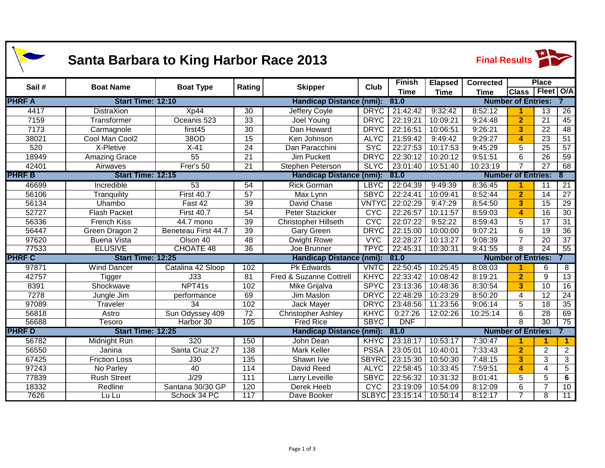| <b>Santa Barbara to King Harbor Race 2013</b> |                          |                            |                  |                                         |                                         |                |                | <b>Final Results</b>           |                           |                 |                      |  |
|-----------------------------------------------|--------------------------|----------------------------|------------------|-----------------------------------------|-----------------------------------------|----------------|----------------|--------------------------------|---------------------------|-----------------|----------------------|--|
| Sail#                                         | <b>Boat Name</b>         |                            | Rating           |                                         | Club                                    | <b>Finish</b>  | <b>Elapsed</b> | Corrected                      |                           | <b>Place</b>    |                      |  |
|                                               |                          | <b>Boat Type</b>           |                  | <b>Skipper</b>                          |                                         | <b>Time</b>    | <b>Time</b>    | <b>Time</b>                    | <b>Class</b>              | Fleet O/A       |                      |  |
| <b>PHRF A</b>                                 |                          | Start Time: 12:10          |                  |                                         | <b>Handicap Distance (nmi):</b><br>81.0 |                |                | <b>Number of Entries:</b>      |                           |                 |                      |  |
| 4417                                          | <b>DistraXion</b>        | Xp44                       | 30               | <b>Jeffery Coyle</b>                    | <b>DRYC</b>                             | 21:42:42       | 9:32:42        | 8:52:12                        | 1                         | 13              | $\overline{26}$      |  |
| 7159                                          | Transformer              | Oceanis 523                | $\overline{33}$  | Joel Young                              | <b>DRYC</b>                             | 22:19:21       | 10:09:21       | 9:24:48                        | $\overline{2}$            | $\overline{21}$ | 45                   |  |
| 7173                                          | Carmagnole               | first45                    | 30               | Dan Howard                              | <b>DRYC</b>                             | 22:16:51       | 10:06:51       | 9:26:21                        | $\overline{\mathbf{3}}$   | 22              | 48                   |  |
| 38021                                         | Cool Man Cool2           | 38OD                       | $\overline{15}$  | Ken Johnson                             | <b>ALYC</b>                             | 21:59:42       | 9:49:42        | 9:29:27                        | $\blacktriangle$          | $\overline{23}$ | $\overline{51}$      |  |
| 520                                           | X-Pletive                | $X-41$                     | 24               | Dan Paracchini                          | <b>SYC</b>                              | 22:27:53       | 10:17:53       | 9:45:29                        | 5                         | 25              | $\overline{57}$      |  |
| 18949                                         | <b>Amazing Grace</b>     | 55                         | 21               | <b>Jim Puckett</b>                      | <b>DRYC</b>                             | 22:30:12       | 10:20:12       | 9:51:51                        | 6                         | 26              | $\overline{59}$      |  |
| 42401                                         | Airwaves                 | Frer's 50                  | $\overline{21}$  | Stephen Peterson                        | <b>SLYC</b>                             | 23:01:40       | 10:51:40       | 10:23:19                       |                           | $\overline{27}$ | 68                   |  |
| <b>PHRF B</b>                                 | <b>Start Time: 12:15</b> |                            |                  | <b>Handicap Distance (nmi):</b><br>81.0 |                                         |                |                | <b>Number of Entries:</b><br>8 |                           |                 |                      |  |
| 46699                                         | Incredible               | 53                         | 54               | <b>Rick Gorman</b>                      | <b>LBYC</b>                             | 22:04:39       | 9:49:39        | 8:36:45                        | 1                         | 11              | 21                   |  |
| 56106                                         | Tranquility              | <b>First 40.7</b>          | $\overline{57}$  | Max Lynn                                | <b>SBYC</b>                             | 22:24:41       | 10:09:41       | 8:52:44                        | $\overline{2}$            | 14              | $\overline{27}$      |  |
| 56134                                         | Uhambo                   | Fast 42                    | 39               | David Chase                             | <b>VNTYC</b>                            | 22:02:29       | 9:47:29        | 8:54:50                        | $\overline{\mathbf{3}}$   | 15              | $\overline{29}$      |  |
| 52727                                         | <b>Flash Packet</b>      | <b>First 40.7</b>          | 54               | Peter Stazicker                         | <b>CYC</b>                              | 22:26:57       | 10:11:57       | 8:59:03                        | $\boldsymbol{\Lambda}$    | 16              | $\overline{30}$      |  |
| 56336                                         | <b>French Kiss</b>       | 44.7 mono                  | 39               | <b>Christopher Hillseth</b>             | <b>CYC</b>                              | 22:07:22       | 9:52:22        | 8:59:43                        | 5                         | 17              | $\overline{31}$      |  |
| 56447                                         | Green Dragon 2           | <b>Beneteau First 44.7</b> | 39               | <b>Gary Green</b>                       | <b>DRYC</b>                             | 22:15:00       | 10:00:00       | 9:07:21                        | 6                         | 19              | $\overline{36}$      |  |
| 97620                                         | <b>Buena Vista</b>       | Olson 40                   | 48               | <b>Dwight Rowe</b>                      | <b>VYC</b>                              | 22:28:27       | 10:13:27       | 9:08:39                        | $\overline{7}$            | 20              | $\overline{37}$      |  |
| 77533                                         | <b>ELUSIVE</b>           | <b>CHOATE 48</b>           | $\overline{36}$  | Joe Brunner                             | <b>TPYC</b>                             | 22:45:31       | 10:30:31       | 9:41:55                        | 8                         | $\overline{24}$ | 55                   |  |
| <b>PHRF C</b>                                 | Start Time: 12:25        |                            |                  | <b>Handicap Distance (nmi):</b>         |                                         | 81.0           |                |                                | <b>Number of Entries:</b> |                 |                      |  |
| 97871                                         | <b>Wind Dancer</b>       | Catalina 42 Sloop          | 102              | <b>Pk Edwards</b>                       | <b>VNTC</b>                             | 22:50:45       | 10:25:45       | 8:08:03                        | 1                         | 6               | $\overline{\infty}$  |  |
| 42757                                         | Tigger                   | J33                        | 81               | Fred & Suzanne Cottrell                 | <b>KHYC</b>                             | 22:33:42       | 10:08:42       | 8:19:21                        | $\overline{2}$            | 9               | 13                   |  |
| 8391                                          | Shockwave                | NPT41s                     | 102              | Mike Grijalva                           | <b>SPYC</b>                             | 23:13:36       | 10:48:36       | 8:30:54                        | 3                         | $\overline{10}$ | 16                   |  |
| 7278                                          | Jungle Jim               | performance                | 69               | Jim Maslon                              | <b>DRYC</b>                             | 22:48:29       | 10:23:29       | 8:50:20                        | 4                         | 12              | $\overline{24}$      |  |
| 97089                                         | Traveler                 | 34                         | 102              | Jack Mayer                              | <b>DRYC</b>                             | 23:48:56       | 11:23:56       | 9:06:14                        | 5                         | 18              | $\overline{35}$      |  |
| 56818                                         | Astro                    | Sun Odyssey 409            | $\overline{72}$  | <b>Christopher Ashley</b>               | <b>KHYC</b>                             | 0:27:26        | 12:02:26       | 10:25:14                       | 6                         | $\overline{28}$ | 69                   |  |
| 56688                                         | Tesoro                   | Harbor 30                  | 105              | <b>Fred Rice</b>                        | <b>SBYC</b>                             | <b>DNF</b>     |                |                                | 8                         | $\overline{30}$ | $\overline{75}$      |  |
| <b>PHRF D</b>                                 | Start Time: 12:25        |                            |                  | <b>Handicap Distance (nmi):</b><br>81.0 |                                         |                |                | <b>Number of Entries:</b>      |                           |                 |                      |  |
| 56782                                         | Midnight Run             | 320                        | 150              | John Dean                               | <b>KHYC</b>                             | 23:18:17       | 10:53:17       | 7:30:47                        | 1                         | 1               | $\blacktriangleleft$ |  |
| 56550                                         | Janina                   | Santa Cruz 27              | 138              | <b>Mark Keller</b>                      | <b>PSSA</b>                             | 23:05:01       | 10:40:01       | 7:33:43                        | $\overline{2}$            | $\overline{2}$  | $\overline{2}$       |  |
| 67425                                         | <b>Friction Loss</b>     | J30                        | $\overline{135}$ | Shawn Ivie                              | <b>SBYRC</b>                            | 23:15:30       | 10:50:30       | 7:48:15                        | $\overline{3}$            | $\overline{3}$  | $\overline{3}$       |  |
| 97243                                         | No Parley                | 40                         | 114              | David Reed                              | <b>ALYC</b>                             | 22:58:45       | 10:33:45       | 7:59:51                        | $\boldsymbol{A}$          | $\overline{4}$  | $\overline{5}$       |  |
| 77839                                         | <b>Rush Street</b>       | J/29                       | $\overline{111}$ | Larry Leveille                          | <b>SBYC</b>                             | 22:56:32       | 10:31:32       | 8:01:41                        | 5                         | $\overline{5}$  | $\overline{6}$       |  |
| 18332                                         | Redline                  | Santana 30/30 GP           | 120              | Derek Heeb                              | <b>CYC</b>                              | 23:19:09       | 10:54:09       | 8:12:09                        | 6                         | $\overline{7}$  | 10                   |  |
| 7626                                          | Lu Lu                    | Schock 34 PC               | 117              | Dave Booker                             |                                         | SLBYC 23:15:14 | 10:50:14       | 8:12:17                        | $\overline{\mathbf{7}}$   | $\overline{8}$  | 11                   |  |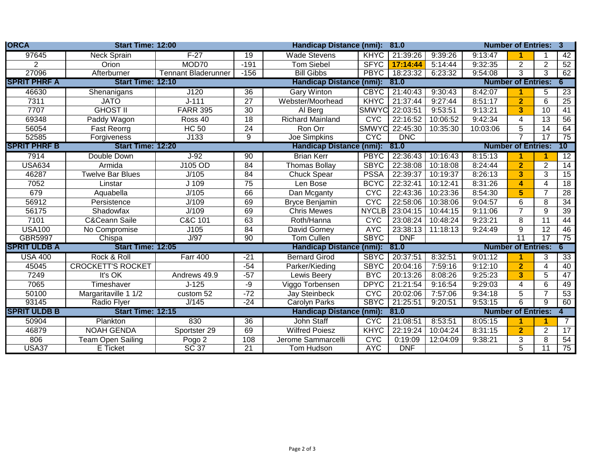| <b>ORCA</b>         | Start Time: 12:00        |                            |                                         | <b>Handicap Distance (nmi):</b><br>81.0 |                   |            |                           |                                     | <b>Number of Entries: 3</b>    |                 |                 |  |
|---------------------|--------------------------|----------------------------|-----------------------------------------|-----------------------------------------|-------------------|------------|---------------------------|-------------------------------------|--------------------------------|-----------------|-----------------|--|
| 97645               | <b>Neck Sprain</b>       | $F-27$                     | 19                                      | <b>Wade Stevens</b>                     | <b>KHYC</b>       | 21:39:26   | 9:39:26                   | 9:13:47                             |                                |                 | 42              |  |
| $\overline{2}$      | Orion                    | MOD70                      | $-191$                                  | <b>Tom Siebel</b>                       | <b>SFYC</b>       | 17:14:44   | 5:14:44                   | 9:32:35                             | $\overline{2}$                 | 2               | 52              |  |
| 27096               | Afterburner              | <b>Tennant Bladerunner</b> | $-156$                                  | <b>Bill Gibbs</b>                       | <b>PBYC</b>       | 18:23:32   | 6:23:32                   | 9:54:08                             | 3                              | $\overline{3}$  | 62              |  |
| <b>SPRIT PHRF A</b> | <b>Start Time: 12:10</b> |                            |                                         | <b>Handicap Distance (nmi):</b><br>81.0 |                   |            |                           |                                     | <b>Number of Entries:</b><br>6 |                 |                 |  |
| 46630               | Shenanigans              | J120                       | $\overline{36}$                         | <b>Gary Winton</b>                      | <b>CBYC</b>       | 21:40:43   | 9:30:43                   | 8:42:07                             |                                | 5               | $\overline{23}$ |  |
| 7311                | <b>JATO</b>              | $J - 111$                  | 27                                      | Webster/Moorhead                        | <b>KHYC</b>       | 21:37:44   | 9:27:44                   | 8:51:17                             | $\overline{2}$                 | 6               | 25              |  |
| 7707                | <b>GHOST II</b>          | <b>FARR 395</b>            | 30                                      | Al Berg                                 | <b>SMWYC</b>      | 22:03:51   | 9:53:51                   | 9:13:21                             | 3                              | 10              | 41              |  |
| 69348               | Paddy Wagon              | Ross 40                    | 18                                      | <b>Richard Mainland</b>                 | <b>CYC</b>        | 22:16:52   | 10:06:52                  | 9:42:34                             | $\overline{4}$                 | 13              | 56              |  |
| 56054               | <b>Fast Reorrg</b>       | <b>HC 50</b>               | 24                                      | Ron Orr                                 | <b>SMWYC</b>      | 22:45:30   | 10:35:30                  | 10:03:06                            | 5                              | 14              | 64              |  |
| 52585               | Forgiveness              | J133                       | 9                                       | <b>Joe Simpkins</b>                     | <b>CYC</b>        | <b>DNC</b> |                           |                                     |                                | 17              | 75              |  |
| <b>SPRIT PHRF B</b> | <b>Start Time: 12:20</b> |                            |                                         | Handicap Distance (nmi):<br>81.0        |                   |            |                           | $10-1$<br><b>Number of Entries:</b> |                                |                 |                 |  |
| 7914                | Double Down              | $J-92$                     | $\overline{90}$                         | <b>Brian Kerr</b>                       | <b>PBYC</b>       | 22:36:43   | 10:16:43                  | 8:15:13                             |                                |                 | $\overline{12}$ |  |
| <b>USA634</b>       | Armida                   | J105 OD                    | 84                                      | <b>Thomas Bollay</b>                    | <b>SBYC</b>       | 22:38:08   | 10:18:08                  | 8:24:44                             | $\overline{2}$                 | 2               | 14              |  |
| 46287               | <b>Twelve Bar Blues</b>  | J/105                      | 84                                      | Chuck Spear                             | <b>PSSA</b>       | 22:39:37   | 10:19:37                  | 8:26:13                             | 3                              | 3               | $\overline{15}$ |  |
| 7052                | Linstar                  | J 109                      | $\overline{75}$                         | Len Bose                                | <b>BCYC</b>       | 22:32:41   | 10:12:41                  | 8:31:26                             | 4                              | $\overline{4}$  | 18              |  |
| 679                 | Aquabella                | J/105                      | 66                                      | Dan Mcganty                             | <b>CYC</b>        | 22:43:36   | 10:23:36                  | 8:54:30                             | 5                              | $\overline{7}$  | $\overline{28}$ |  |
| 56912               | Persistence              | J/109                      | 69                                      | Bryce Benjamin                          | <b>CYC</b>        | 22:58:06   | 10:38:06                  | 9:04:57                             | 6                              | 8               | 34              |  |
| 56175               | Shadowfax                | J/109                      | 69                                      | <b>Chris Mewes</b>                      | <b>NYCLB</b>      | 23:04:15   | 10:44:15                  | 9:11:06                             | $\overline{7}$                 | 9               | 39              |  |
| 7101                | <b>C&amp;Ceann Saile</b> | C&C 101                    | 63                                      | Roth/Hanna                              | <b>CYC</b>        | 23:08:24   | 10:48:24                  | 9:23:21                             | 8                              | 11              | 44              |  |
| <b>USA100</b>       | No Compromise            | J105                       | 84                                      | David Gorney                            | <b>AYC</b>        | 23:38:13   | 11:18:13                  | 9:24:49                             | 9                              | 12              | 46              |  |
| <b>GBR5997</b>      | Chispa                   | J/97                       | 90                                      | Tom Cullen                              | <b>SBYC</b>       | <b>DNF</b> |                           |                                     | $\overline{11}$                | $\overline{17}$ | 75              |  |
| <b>SPRIT ULDB A</b> | Start Time: 12:05        |                            |                                         | <b>Handicap Distance</b>                | $(mmi)$ :<br>81.0 |            |                           | <b>Number of Entries:</b><br>6      |                                |                 |                 |  |
| <b>USA 400</b>      | Rock & Roll              | <b>Farr 400</b>            | $-21$                                   | <b>Bernard Girod</b>                    | <b>SBYC</b>       | 20:37:51   | 8:32:51                   | 9:01:12                             |                                | 3               | 33              |  |
| 45045               | <b>CROCKETT'S ROCKET</b> |                            | $-54$                                   | Parker/Kieding                          | <b>SBYC</b>       | 20:04:16   | 7:59:16                   | 9:12:10                             | $\overline{2}$                 | 4               | 40              |  |
| 7249                | It's OK                  | Andrews 49.9               | $-57$                                   | Lewis Beery                             | <b>BYC</b>        | 20:13:26   | 8:08:26                   | 9:25:23                             | 3                              | 5               | 47              |  |
| 7065                | Timeshaver               | $J-125$                    | -9                                      | Viggo Torbensen                         | <b>DPYC</b>       | 21:21:54   | 9:16:54                   | 9:29:03                             | $\overline{\mathbf{4}}$        | 6               | 49              |  |
| 50100               | Margaritaville 1 1/2     | custom 52                  | $-72$                                   | Jay Steinbeck                           | <b>CYC</b>        | 20:02:06   | 7:57:06                   | 9:34:18                             | 5                              | $\overline{7}$  | 53              |  |
| 93145               | <b>Radio Flyer</b>       | J/145                      | $-24$                                   | <b>Carolyn Parks</b>                    | <b>SBYC</b>       | 21:25:51   | 9:20:51                   | 9:53:15                             | 6                              | 9               | 60              |  |
| <b>SPRIT ULDB B</b> | Start Time: 12:15        |                            | <b>Handicap Distance (nmi):</b><br>81.0 |                                         |                   |            | <b>Number of Entries:</b> |                                     |                                |                 |                 |  |
| 50904               | Plankton                 | 830                        | $\overline{36}$                         | <b>John Staff</b>                       | <b>CYC</b>        | 21:08:51   | 8:53:51                   | 8:05:15                             |                                |                 | 7               |  |
| 46879               | <b>NOAH GENDA</b>        | Sportster 29               | 69                                      | <b>Wilfred Poiesz</b>                   | <b>KHYC</b>       | 22:19:24   | 10:04:24                  | 8:31:15                             | $\overline{2}$                 | $\overline{2}$  | 17              |  |
| 806                 | Team Open Sailing        | Pogo 2                     | 108                                     | Jerome Sammarcelli                      | <b>CYC</b>        | 0:19:09    | 12:04:09                  | 9:38:21                             | 3                              | 8               | 54              |  |
| USA37               | E Ticket                 | SC <sub>37</sub>           | $\overline{21}$                         | Tom Hudson                              | <b>AYC</b>        | <b>DNF</b> |                           |                                     | $\overline{5}$                 | $\overline{11}$ | 75              |  |